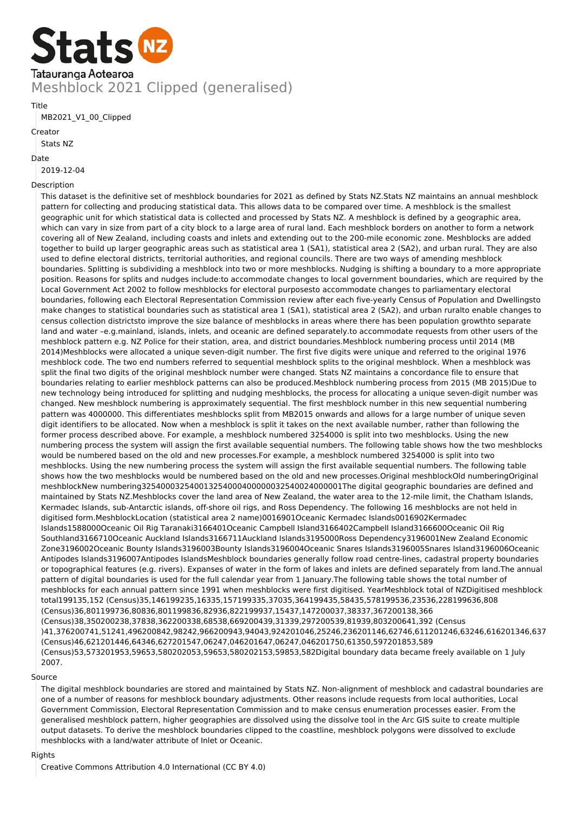

Title

#### MB2021\_V1\_00\_Clipped

# Creator

Stats NZ

#### Date

2019-12-04

### Description

This dataset is the definitive set of meshblock boundaries for 2021 as defined by Stats NZ.Stats NZ maintains an annual meshblock pattern for collecting and producing statistical data. This allows data to be compared over time. A meshblock is the smallest geographic unit for which statistical data is collected and processed by Stats NZ. A meshblock is defined by a geographic area, which can vary in size from part of a city block to a large area of rural land. Each meshblock borders on another to form a network covering all of New Zealand, including coasts and inlets and extending out to the 200-mile economic zone. Meshblocks are added together to build up larger geographic areas such as statistical area 1 (SA1), statistical area 2 (SA2), and urban rural. They are also used to define electoral districts, territorial authorities, and regional councils. There are two ways of amending meshblock boundaries. Splitting is subdividing a meshblock into two or more meshblocks. Nudging is shifting a boundary to a more appropriate position. Reasons for splits and nudges include:to accommodate changes to local government boundaries, which are required by the Local Government Act 2002 to follow meshblocks for electoral purposesto accommodate changes to parliamentary electoral boundaries, following each Electoral Representation Commission review after each five-yearly Census of Population and Dwellingsto make changes to statistical boundaries such as statistical area 1 (SA1), statistical area 2 (SA2), and urban ruralto enable changes to census collection districtsto improve the size balance of meshblocks in areas where there has been population growthto separate land and water –e.g.mainland, islands, inlets, and oceanic are defined separately.to accommodate requests from other users of the meshblock pattern e.g. NZ Police for their station, area, and district boundaries.Meshblock numbering process until 2014 (MB 2014)Meshblocks were allocated a unique seven-digit number. The first five digits were unique and referred to the original 1976 meshblock code. The two end numbers referred to sequential meshblock splits to the original meshblock. When a meshblock was split the final two digits of the original meshblock number were changed. Stats NZ maintains a concordance file to ensure that boundaries relating to earlier meshblock patterns can also be produced.Meshblock numbering process from 2015 (MB 2015)Due to new technology being introduced for splitting and nudging meshblocks, the process for allocating a unique seven-digit number was changed. New meshblock numbering is approximately sequential. The first meshblock number in this new sequential numbering pattern was 4000000. This differentiates meshblocks split from MB2015 onwards and allows for a large number of unique seven digit identifiers to be allocated. Now when a meshblock is split it takes on the next available number, rather than following the former process described above. For example, a meshblock numbered 3254000 is split into two meshblocks. Using the new numbering process the system will assign the first available sequential numbers. The following table shows how the two meshblocks would be numbered based on the old and new processes.For example, a meshblock numbered 3254000 is split into two meshblocks. Using the new numbering process the system will assign the first available sequential numbers. The following table shows how the two meshblocks would be numbered based on the old and new processes.Original meshblockOld numberingOriginal meshblockNew numbering325400032540013254000400000032540024000001The digital geographic boundaries are defined and maintained by Stats NZ.Meshblocks cover the land area of New Zealand, the water area to the 12-mile limit, the Chatham Islands, Kermadec Islands, sub-Antarctic islands, off-shore oil rigs, and Ross Dependency. The following 16 meshblocks are not held in digitised form.MeshblockLocation (statistical area 2 name)0016901Oceanic Kermadec Islands0016902Kermadec Islands1588000Oceanic Oil Rig Taranaki3166401Oceanic Campbell Island3166402Campbell Island3166600Oceanic Oil Rig Southland3166710Oceanic Auckland Islands3166711Auckland Islands3195000Ross Dependency3196001New Zealand Economic Zone3196002Oceanic Bounty Islands3196003Bounty Islands3196004Oceanic Snares Islands3196005Snares Island3196006Oceanic Antipodes Islands3196007Antipodes IslandsMeshblock boundaries generally follow road centre-lines, cadastral property boundaries or topographical features (e.g. rivers). Expanses of water in the form of lakes and inlets are defined separately from land.The annual pattern of digital boundaries is used for the full calendar year from 1 January.The following table shows the total number of meshblocks for each annual pattern since 1991 when meshblocks were first digitised. YearMeshblock total of NZDigitised meshblock total199135,152 (Census)35,146199235,16335,157199335,37035,364199435,58435,578199536,23536,228199636,808 (Census)36,801199736,80836,801199836,82936,822199937,15437,147200037,38337,367200138,366 (Census)38,350200238,37838,362200338,68538,669200439,31339,297200539,81939,803200641,392 (Census )41,376200741,51241,496200842,98242,966200943,94043,924201046,25246,236201146,62746,611201246,63246,616201346,637 (Census)46,621201446,64346,627201547,06247,046201647,06247,046201750,61350,597201853,589 (Census)53,573201953,59653,580202053,59653,580202153,59853,582Digital boundary data became freely available on 1 July 2007.

#### Source

The digital meshblock boundaries are stored and maintained by Stats NZ. Non-alignment of meshblock and cadastral boundaries are one of a number of reasons for meshblock boundary adjustments. Other reasons include requests from local authorities, Local Government Commission, Electoral Representation Commission and to make census enumeration processes easier. From the generalised meshblock pattern, higher geographies are dissolved using the dissolve tool in the Arc GIS suite to create multiple output datasets. To derive the meshblock boundaries clipped to the coastline, meshblock polygons were dissolved to exclude meshblocks with a land/water attribute of Inlet or Oceanic.

#### Rights

Creative Commons Attribution 4.0 International (CC BY 4.0)